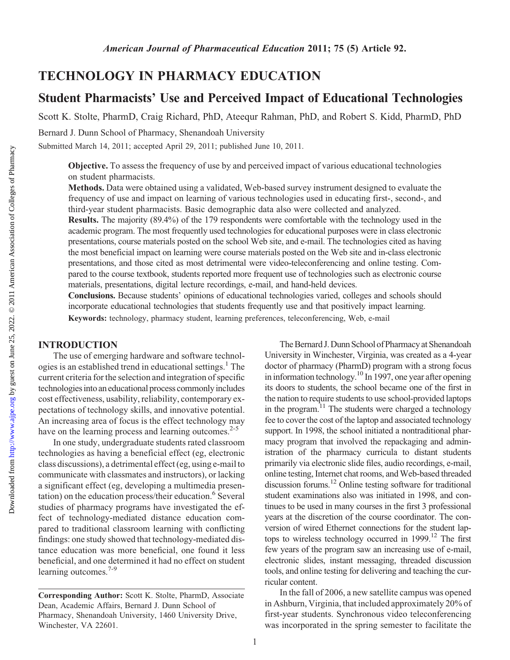# TECHNOLOGY IN PHARMACY EDUCATION

# Student Pharmacists' Use and Perceived Impact of Educational Technologies

Scott K. Stolte, PharmD, Craig Richard, PhD, Ateequr Rahman, PhD, and Robert S. Kidd, PharmD, PhD

Bernard J. Dunn School of Pharmacy, Shenandoah University

Submitted March 14, 2011; accepted April 29, 2011; published June 10, 2011.

Objective. To assess the frequency of use by and perceived impact of various educational technologies on student pharmacists.

Methods. Data were obtained using a validated, Web-based survey instrument designed to evaluate the frequency of use and impact on learning of various technologies used in educating first-, second-, and third-year student pharmacists. Basic demographic data also were collected and analyzed.

Results. The majority (89.4%) of the 179 respondents were comfortable with the technology used in the academic program. The most frequently used technologies for educational purposes were in class electronic presentations, course materials posted on the school Web site, and e-mail. The technologies cited as having the most beneficial impact on learning were course materials posted on the Web site and in-class electronic presentations, and those cited as most detrimental were video-teleconferencing and online testing. Compared to the course textbook, students reported more frequent use of technologies such as electronic course materials, presentations, digital lecture recordings, e-mail, and hand-held devices.

Conclusions. Because students' opinions of educational technologies varied, colleges and schools should incorporate educational technologies that students frequently use and that positively impact learning. Keywords: technology, pharmacy student, learning preferences, teleconferencing, Web, e-mail

## INTRODUCTION

The use of emerging hardware and software technologies is an established trend in educational settings.<sup>1</sup> The current criteria for the selection and integration of specific technologies into an educational process commonly includes cost effectiveness, usability, reliability, contemporary expectations of technology skills, and innovative potential. An increasing area of focus is the effect technology may have on the learning process and learning outcomes.<sup>2-5</sup>

In one study, undergraduate students rated classroom technologies as having a beneficial effect (eg, electronic class discussions), a detrimental effect (eg, using e-mail to communicate with classmates and instructors), or lacking a significant effect (eg, developing a multimedia presentation) on the education process/their education.<sup>6</sup> Several studies of pharmacy programs have investigated the effect of technology-mediated distance education compared to traditional classroom learning with conflicting findings: one study showed that technology-mediated distance education was more beneficial, one found it less beneficial, and one determined it had no effect on student learning outcomes.<sup>7-9</sup>

The Bernard J. Dunn School of Pharmacy at Shenandoah University in Winchester, Virginia, was created as a 4-year doctor of pharmacy (PharmD) program with a strong focus in information technology.<sup>10</sup> In 1997, one year after opening its doors to students, the school became one of the first in the nation to require students to use school-provided laptops in the program. $11$  The students were charged a technology fee to cover the cost of the laptop and associated technology support. In 1998, the school initiated a nontraditional pharmacy program that involved the repackaging and administration of the pharmacy curricula to distant students primarily via electronic slide files, audio recordings, e-mail, online testing, Internet chat rooms, and Web-based threaded discussion forums.<sup>12</sup> Online testing software for traditional student examinations also was initiated in 1998, and continues to be used in many courses in the first 3 professional years at the discretion of the course coordinator. The conversion of wired Ethernet connections for the student laptops to wireless technology occurred in  $1999$ <sup>12</sup>. The first few years of the program saw an increasing use of e-mail, electronic slides, instant messaging, threaded discussion tools, and online testing for delivering and teaching the curricular content.

In the fall of 2006, a new satellite campus was opened in Ashburn, Virginia, that included approximately 20% of first-year students. Synchronous video teleconferencing was incorporated in the spring semester to facilitate the

Corresponding Author: Scott K. Stolte, PharmD, Associate Dean, Academic Affairs, Bernard J. Dunn School of Pharmacy, Shenandoah University, 1460 University Drive, Winchester, VA 22601.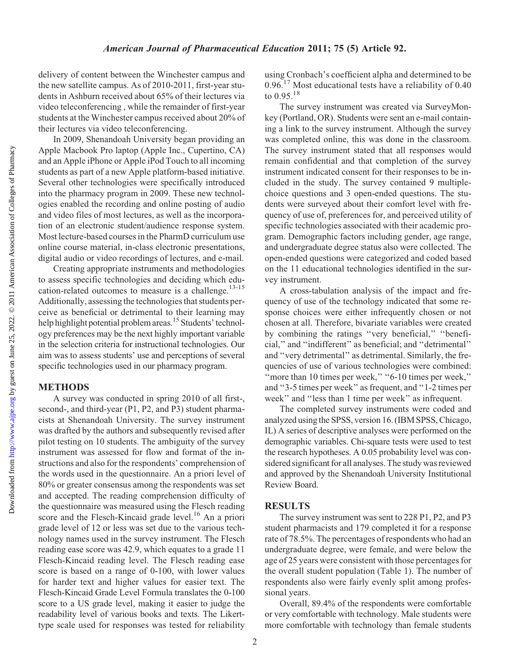delivery of content between the Winchester campus and the new satellite campus. As of 2010-2011, first-year students in Ashburn received about 65% of their lectures via video teleconferencing , while the remainder of first-year students at the Winchester campus received about 20% of their lectures via video teleconferencing.

In 2009, Shenandoah University began providing an Apple Macbook Pro laptop (Apple Inc., Cupertino, CA) and an Apple iPhone or Apple iPod Touch to all incoming students as part of a new Apple platform-based initiative. Several other technologies were specifically introduced into the pharmacy program in 2009. These new technologies enabled the recording and online posting of audio and video files of most lectures, as well as the incorporation of an electronic student/audience response system. Most lecture-based courses in the PharmD curriculum use online course material, in-class electronic presentations, digital audio or video recordings of lectures, and e-mail.

Creating appropriate instruments and methodologies to assess specific technologies and deciding which education-related outcomes to measure is a challenge.<sup>13-15</sup> Additionally, assessing the technologies that students perceive as beneficial or detrimental to their learning may help highlight potential problem areas.<sup>15</sup> Students' technology preferences may be the next highly important variable in the selection criteria for instructional technologies. Our aim was to assess students' use and perceptions of several specific technologies used in our pharmacy program.

#### METHODS

A survey was conducted in spring 2010 of all first-, second-, and third-year (P1, P2, and P3) student pharmacists at Shenandoah University. The survey instrument was drafted by the authors and subsequently revised after pilot testing on 10 students. The ambiguity of the survey instrument was assessed for flow and format of the instructions and also for the respondents' comprehension of the words used in the questionnaire. An a priori level of 80% or greater consensus among the respondents was set and accepted. The reading comprehension difficulty of the questionnaire was measured using the Flesch reading score and the Flesch-Kincaid grade level.<sup>16</sup> An a priori grade level of 12 or less was set due to the various technology names used in the survey instrument. The Flesch reading ease score was 42.9, which equates to a grade 11 Flesch-Kincaid reading level. The Flesch reading ease score is based on a range of 0-100, with lower values for harder text and higher values for easier text. The Flesch-Kincaid Grade Level Formula translates the 0-100 score to a US grade level, making it easier to judge the readability level of various books and texts. The Likerttype scale used for responses was tested for reliability

using Cronbach's coefficient alpha and determined to be 0.96.<sup>17</sup> Most educational tests have a reliability of 0.40 to  $0.95.^{18}$ 

The survey instrument was created via SurveyMonkey (Portland, OR). Students were sent an e-mail containing a link to the survey instrument. Although the survey was completed online, this was done in the classroom. The survey instrument stated that all responses would remain confidential and that completion of the survey instrument indicated consent for their responses to be included in the study. The survey contained 9 multiplechoice questions and 3 open-ended questions. The students were surveyed about their comfort level with frequency of use of, preferences for, and perceived utility of specific technologies associated with their academic program. Demographic factors including gender, age range, and undergraduate degree status also were collected. The open-ended questions were categorized and coded based on the 11 educational technologies identified in the survey instrument.

A cross-tabulation analysis of the impact and frequency of use of the technology indicated that some response choices were either infrequently chosen or not chosen at all. Therefore, bivariate variables were created by combining the ratings ''very beneficial,'' ''beneficial,'' and ''indifferent'' as beneficial; and ''detrimental'' and ''very detrimental'' as detrimental. Similarly, the frequencies of use of various technologies were combined: "more than 10 times per week," "6-10 times per week," and ''3-5 times per week'' as frequent, and ''1-2 times per week'' and ''less than 1 time per week'' as infrequent.

The completed survey instruments were coded and analyzed using the SPSS, version 16. (IBM SPSS, Chicago, IL) A series of descriptive analyses were performed on the demographic variables. Chi-square tests were used to test the research hypotheses. A 0.05 probability level was considered significant for all analyses. The study was reviewed and approved by the Shenandoah University Institutional Review Board.

#### RESULTS

The survey instrument was sent to 228 P1, P2, and P3 student pharmacists and 179 completed it for a response rate of 78.5%. The percentages of respondents who had an undergraduate degree, were female, and were below the age of 25 years were consistent with those percentages for the overall student population (Table 1). The number of respondents also were fairly evenly split among professional years.

Overall, 89.4% of the respondents were comfortable or very comfortable with technology. Male students were more comfortable with technology than female students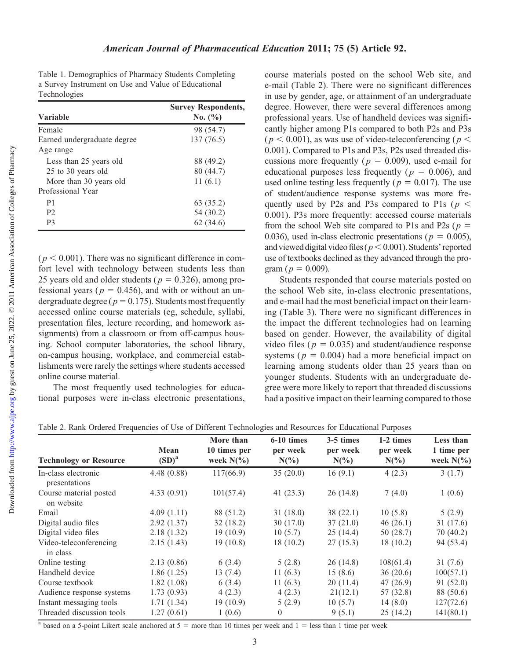Table 1. Demographics of Pharmacy Students Completing a Survey Instrument on Use and Value of Educational Technologies

| <b>Variable</b>             | <b>Survey Respondents,</b><br>No. $(\% )$ |  |  |  |
|-----------------------------|-------------------------------------------|--|--|--|
| Female                      | 98 (54.7)                                 |  |  |  |
| Earned undergraduate degree | 137 (76.5)                                |  |  |  |
| Age range                   |                                           |  |  |  |
| Less than 25 years old      | 88 (49.2)                                 |  |  |  |
| 25 to 30 years old          | 80 (44.7)                                 |  |  |  |
| More than 30 years old      | 11(6.1)                                   |  |  |  |
| Professional Year           |                                           |  |  |  |
| P <sub>1</sub>              | 63 (35.2)                                 |  |  |  |
| P <sub>2</sub>              | 54 (30.2)                                 |  |  |  |
| P3                          | 62(34.6)                                  |  |  |  |

 $(p < 0.001)$ . There was no significant difference in comfort level with technology between students less than 25 years old and older students ( $p = 0.326$ ), among professional years ( $p = 0.456$ ), and with or without an undergraduate degree ( $p = 0.175$ ). Students most frequently accessed online course materials (eg, schedule, syllabi, presentation files, lecture recording, and homework assignments) from a classroom or from off-campus housing. School computer laboratories, the school library, on-campus housing, workplace, and commercial establishments were rarely the settings where students accessed online course material.

The most frequently used technologies for educational purposes were in-class electronic presentations, course materials posted on the school Web site, and e-mail (Table 2). There were no significant differences in use by gender, age, or attainment of an undergraduate degree. However, there were several differences among professional years. Use of handheld devices was significantly higher among P1s compared to both P2s and P3s  $(p < 0.001)$ , as was use of video-teleconferencing ( $p <$ 0.001). Compared to P1s and P3s, P2s used threaded discussions more frequently ( $p = 0.009$ ), used e-mail for educational purposes less frequently ( $p = 0.006$ ), and used online testing less frequently ( $p = 0.017$ ). The use of student/audience response systems was more frequently used by P2s and P3s compared to P1s ( $p <$ 0.001). P3s more frequently: accessed course materials from the school Web site compared to P1s and P2s ( $p =$ 0.036), used in-class electronic presentations ( $p = 0.005$ ), and viewed digital video files ( $p < 0.001$ ). Students' reported use of textbooks declined as they advanced through the program ( $p = 0.009$ ).

Students responded that course materials posted on the school Web site, in-class electronic presentations, and e-mail had the most beneficial impact on their learning (Table 3). There were no significant differences in the impact the different technologies had on learning based on gender. However, the availability of digital video files ( $p = 0.035$ ) and student/audience response systems ( $p = 0.004$ ) had a more beneficial impact on learning among students older than 25 years than on younger students. Students with an undergraduate degree were more likely to report that threaded discussions had a positive impact on their learning compared to those

| Table 2. Rank Ordered Frequencies of Use of Different Technologies and Resources for Educational Purposes |  |  |  |
|-----------------------------------------------------------------------------------------------------------|--|--|--|

|                                      |                   | More than<br>10 times per<br>week $N(\%)$ | 6-10 times          | 3-5 times | 1-2 times<br>per week<br>$N(\%)$ | Less than<br>1 time per<br>week $N(\%)$ |
|--------------------------------------|-------------------|-------------------------------------------|---------------------|-----------|----------------------------------|-----------------------------------------|
| <b>Technology or Resource</b>        | Mean              |                                           | per week<br>$N(\%)$ | per week  |                                  |                                         |
|                                      | (SD) <sup>a</sup> |                                           |                     | $N(\%)$   |                                  |                                         |
| In-class electronic<br>presentations | 4.48(0.88)        | 117(66.9)                                 | 35(20.0)            | 16(9.1)   | 4(2.3)                           | 3(1.7)                                  |
| Course material posted<br>on website | 4.33(0.91)        | 101(57.4)                                 | 41(23.3)            | 26(14.8)  | 7(4.0)                           | 1(0.6)                                  |
| Email                                | 4.09(1.11)        | 88 (51.2)                                 | 31(18.0)            | 38(22.1)  | 10(5.8)                          | 5(2.9)                                  |
| Digital audio files                  | 2.92(1.37)        | 32(18.2)                                  | 30(17.0)            | 37(21.0)  | 46(26.1)                         | 31(17.6)                                |
| Digital video files                  | 2.18(1.32)        | 19(10.9)                                  | 10(5.7)             | 25(14.4)  | 50(28.7)                         | 70(40.2)                                |
| Video-teleconferencing<br>in class   | 2.15(1.43)        | 19(10.8)                                  | 18(10.2)            | 27(15.3)  | 18(10.2)                         | 94 (53.4)                               |
| Online testing                       | 2.13(0.86)        | 6(3.4)                                    | 5(2.8)              | 26(14.8)  | 108(61.4)                        | 31(7.6)                                 |
| Handheld device                      | 1.86(1.25)        | 13(7.4)                                   | 11(6.3)             | 15(8.6)   | 36(20.6)                         | 100(57.1)                               |
| Course textbook                      | 1.82(1.08)        | 6(3.4)                                    | 11(6.3)             | 20(11.4)  | 47(26.9)                         | 91 (52.0)                               |
| Audience response systems            | 1.73(0.93)        | 4(2.3)                                    | 4(2.3)              | 21(12.1)  | 57 (32.8)                        | 88 (50.6)                               |
| Instant messaging tools              | 1.71(1.34)        | 19(10.9)                                  | 5(2.9)              | 10(5.7)   | 14(8.0)                          | 127(72.6)                               |
| Threaded discussion tools            | 1.27(0.61)        | 1(0.6)                                    | $\theta$            | 9(5.1)    | 25(14.2)                         | 141(80.1)                               |

<sup>a</sup> based on a 5-point Likert scale anchored at  $5 =$  more than 10 times per week and  $1 =$  less than 1 time per week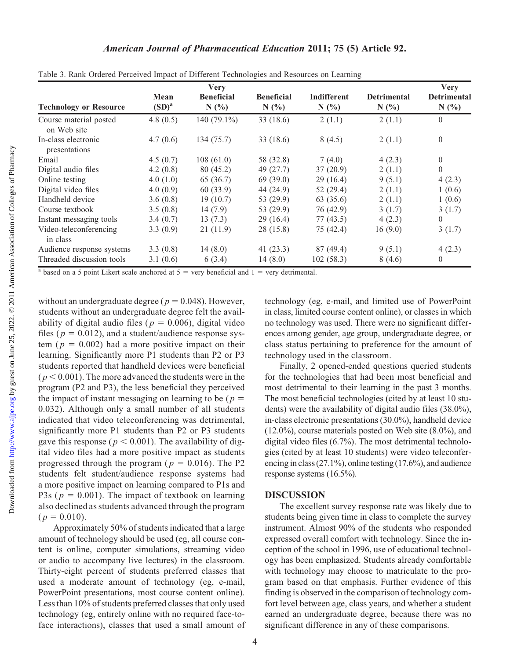<http://www.ajpe.org>

Downloaded from

| American Journal of Pharmaceutical Education 2011; 75 (5) Article 92. |  |  |  |  |
|-----------------------------------------------------------------------|--|--|--|--|
|-----------------------------------------------------------------------|--|--|--|--|

|                                       |                  | <b>Very</b>               |                           |                            |                            | <b>Very</b><br><b>Detrimental</b><br>N(%) |
|---------------------------------------|------------------|---------------------------|---------------------------|----------------------------|----------------------------|-------------------------------------------|
| <b>Technology or Resource</b>         | Mean<br>$(SD)^a$ | <b>Beneficial</b><br>N(%) | <b>Beneficial</b><br>N(%) | <b>Indifferent</b><br>N(%) | <b>Detrimental</b><br>N(%) |                                           |
| Course material posted<br>on Web site | 4.8 $(0.5)$      | 140 $(79.1\%)$            | 33(18.6)                  | 2(1.1)                     | 2(1.1)                     | $\theta$                                  |
| In-class electronic<br>presentations  | 4.7(0.6)         | 134(75.7)                 | 33(18.6)                  | 8(4.5)                     | 2(1.1)                     | $\overline{0}$                            |
| Email                                 | 4.5(0.7)         | 108(61.0)                 | 58 (32.8)                 | 7(4.0)                     | 4(2.3)                     | $\theta$                                  |
| Digital audio files                   | 4.2(0.8)         | 80 (45.2)                 | 49 (27.7)                 | 37(20.9)                   | 2(1.1)                     | $\theta$                                  |
| Online testing                        | 4.0(1.0)         | 65 (36.7)                 | 69(39.0)                  | 29(16.4)                   | 9(5.1)                     | 4(2.3)                                    |
| Digital video files                   | 4.0(0.9)         | 60 (33.9)                 | 44 (24.9)                 | 52 $(29.4)$                | 2(1.1)                     | 1(0.6)                                    |
| Handheld device                       | 3.6(0.8)         | 19(10.7)                  | 53 (29.9)                 | 63 (35.6)                  | 2(1.1)                     | 1(0.6)                                    |
| Course textbook                       | 3.5(0.8)         | 14(7.9)                   | 53 (29.9)                 | 76 (42.9)                  | 3(1.7)                     | 3(1.7)                                    |
| Instant messaging tools               | 3.4(0.7)         | 13(7.3)                   | 29(16.4)                  | 77(43.5)                   | 4(2.3)                     | $\theta$                                  |
| Video-teleconferencing<br>in class    | 3.3(0.9)         | 21(11.9)                  | 28 (15.8)                 | 75 (42.4)                  | 16(9.0)                    | 3(1.7)                                    |
| Audience response systems             | 3.3(0.8)         | 14(8.0)                   | 41(23.3)                  | 87 (49.4)                  | 9(5.1)                     | 4(2.3)                                    |
| Threaded discussion tools             | 3.1(0.6)         | 6(3.4)                    | 14(8.0)                   | 102(58.3)                  | 8(4.6)                     | $\mathbf{0}$                              |

Table 3. Rank Ordered Perceived Impact of Different Technologies and Resources on Learning

<sup>a</sup> based on a 5 point Likert scale anchored at  $5 =$  very beneficial and  $1 =$  very detrimental.

without an undergraduate degree ( $p = 0.048$ ). However, students without an undergraduate degree felt the availability of digital audio files ( $p = 0.006$ ), digital video files ( $p = 0.012$ ), and a student/audience response system ( $p = 0.002$ ) had a more positive impact on their learning. Significantly more P1 students than P2 or P3 students reported that handheld devices were beneficial  $(p < 0.001)$ . The more advanced the students were in the program (P2 and P3), the less beneficial they perceived the impact of instant messaging on learning to be ( $p =$ 0.032). Although only a small number of all students indicated that video teleconferencing was detrimental, significantly more P1 students than P2 or P3 students gave this response ( $p < 0.001$ ). The availability of digital video files had a more positive impact as students progressed through the program ( $p = 0.016$ ). The P2 students felt student/audience response systems had a more positive impact on learning compared to P1s and P3s ( $p = 0.001$ ). The impact of textbook on learning also declined as students advanced through the program  $(p = 0.010).$ 

Approximately 50% of students indicated that a large amount of technology should be used (eg, all course content is online, computer simulations, streaming video or audio to accompany live lectures) in the classroom. Thirty-eight percent of students preferred classes that used a moderate amount of technology (eg, e-mail, PowerPoint presentations, most course content online). Less than 10% of students preferred classes that only used technology (eg, entirely online with no required face-toface interactions), classes that used a small amount of technology (eg, e-mail, and limited use of PowerPoint in class, limited course content online), or classes in which no technology was used. There were no significant differences among gender, age group, undergraduate degree, or class status pertaining to preference for the amount of technology used in the classroom.

Finally, 2 opened-ended questions queried students for the technologies that had been most beneficial and most detrimental to their learning in the past 3 months. The most beneficial technologies (cited by at least 10 students) were the availability of digital audio files (38.0%), in-class electronic presentations (30.0%), handheld device (12.0%), course materials posted on Web site (8.0%), and digital video files (6.7%). The most detrimental technologies (cited by at least 10 students) were video teleconferencing in class (27.1%), online testing (17.6%), and audience response systems (16.5%).

#### DISCUSSION

The excellent survey response rate was likely due to students being given time in class to complete the survey instrument. Almost 90% of the students who responded expressed overall comfort with technology. Since the inception of the school in 1996, use of educational technology has been emphasized. Students already comfortable with technology may choose to matriculate to the program based on that emphasis. Further evidence of this finding is observed in the comparison of technology comfort level between age, class years, and whether a student earned an undergraduate degree, because there was no significant difference in any of these comparisons.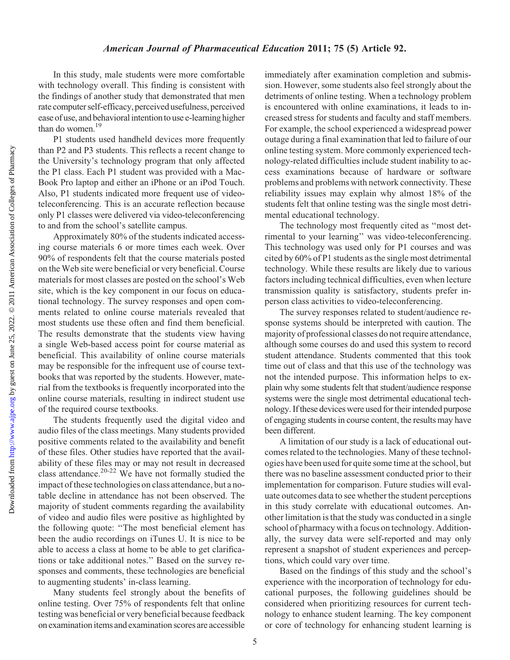#### American Journal of Pharmaceutical Education 2011; 75 (5) Article 92.

In this study, male students were more comfortable with technology overall. This finding is consistent with the findings of another study that demonstrated that men rate computer self-efficacy, perceived usefulness, perceived ease of use, and behavioral intention to use e-learning higher than do women.<sup>19</sup>

P1 students used handheld devices more frequently than P2 and P3 students. This reflects a recent change to the University's technology program that only affected the P1 class. Each P1 student was provided with a Mac-Book Pro laptop and either an iPhone or an iPod Touch. Also, P1 students indicated more frequent use of videoteleconferencing. This is an accurate reflection because only P1 classes were delivered via video-teleconferencing to and from the school's satellite campus.

Approximately 80% of the students indicated accessing course materials 6 or more times each week. Over 90% of respondents felt that the course materials posted on the Web site were beneficial or very beneficial. Course materials for most classes are posted on the school's Web site, which is the key component in our focus on educational technology. The survey responses and open comments related to online course materials revealed that most students use these often and find them beneficial. The results demonstrate that the students view having a single Web-based access point for course material as beneficial. This availability of online course materials may be responsible for the infrequent use of course textbooks that was reported by the students. However, material from the textbooks is frequently incorporated into the online course materials, resulting in indirect student use of the required course textbooks.

The students frequently used the digital video and audio files of the class meetings. Many students provided positive comments related to the availability and benefit of these files. Other studies have reported that the availability of these files may or may not result in decreased class attendance.<sup>20-22</sup> We have not formally studied the impact of these technologies on class attendance, but a notable decline in attendance has not been observed. The majority of student comments regarding the availability of video and audio files were positive as highlighted by the following quote: ''The most beneficial element has been the audio recordings on iTunes U. It is nice to be able to access a class at home to be able to get clarifications or take additional notes.'' Based on the survey responses and comments, these technologies are beneficial to augmenting students' in-class learning.

Many students feel strongly about the benefits of online testing. Over 75% of respondents felt that online testing was beneficial or very beneficial because feedback on examination items and examination scores are accessible

immediately after examination completion and submission. However, some students also feel strongly about the detriments of online testing. When a technology problem is encountered with online examinations, it leads to increased stress for students and faculty and staff members. For example, the school experienced a widespread power outage during a final examination that led to failure of our online testing system. More commonly experienced technology-related difficulties include student inability to access examinations because of hardware or software problems and problems with network connectivity. These reliability issues may explain why almost 18% of the students felt that online testing was the single most detrimental educational technology.

The technology most frequently cited as ''most detrimental to your learning'' was video-teleconferencing. This technology was used only for P1 courses and was cited by 60% of P1 students as the single most detrimental technology. While these results are likely due to various factors including technical difficulties, even when lecture transmission quality is satisfactory, students prefer inperson class activities to video-teleconferencing.

The survey responses related to student/audience response systems should be interpreted with caution. The majority of professional classes do not require attendance, although some courses do and used this system to record student attendance. Students commented that this took time out of class and that this use of the technology was not the intended purpose. This information helps to explain why some students felt that student/audience response systems were the single most detrimental educational technology. If these devices were used for their intended purpose of engaging students in course content, the results may have been different.

A limitation of our study is a lack of educational outcomes related to the technologies. Many of these technologies have been used for quite some time at the school, but there was no baseline assessment conducted prior to their implementation for comparison. Future studies will evaluate outcomes data to see whether the student perceptions in this study correlate with educational outcomes. Another limitation is that the study was conducted in a single school of pharmacy with a focus on technology. Additionally, the survey data were self-reported and may only represent a snapshot of student experiences and perceptions, which could vary over time.

Based on the findings of this study and the school's experience with the incorporation of technology for educational purposes, the following guidelines should be considered when prioritizing resources for current technology to enhance student learning. The key component or core of technology for enhancing student learning is